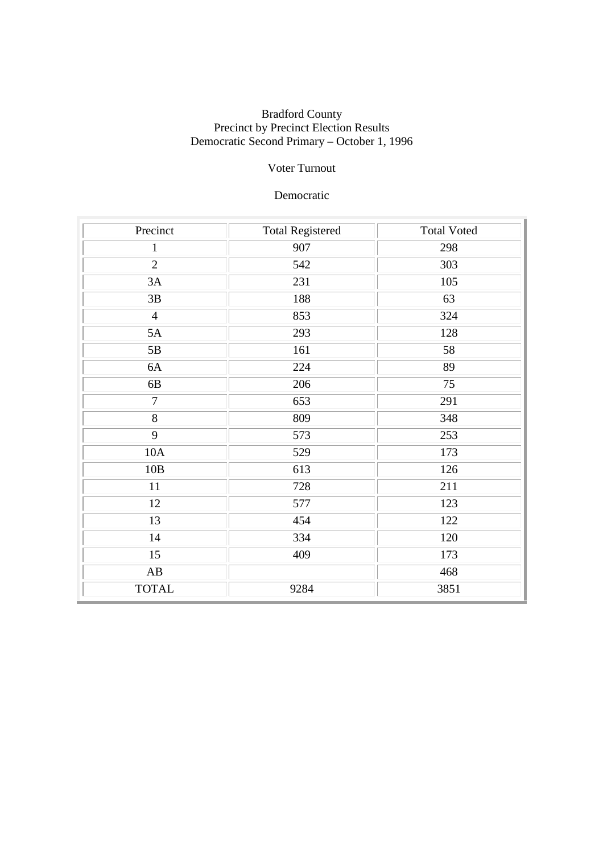### Bradford County Precinct by Precinct Election Results Democratic Second Primary – October 1, 1996

## Voter Turnout

## Democratic

| Precinct               | <b>Total Registered</b> | <b>Total Voted</b> |
|------------------------|-------------------------|--------------------|
| $\mathbf{1}$           | 907                     | 298                |
| $\overline{2}$         | 542                     | 303                |
| 3A                     | 231                     | 105                |
| $3\mathrm{B}$          | 188                     | 63                 |
| $\overline{4}$         | 853                     | 324                |
| 5A                     | 293                     | 128                |
| $5\mathrm{B}$          | 161                     | 58                 |
| 6A                     | 224                     | 89                 |
| $6B$                   | 206                     | 75                 |
| $\overline{7}$         | 653                     | 291                |
| 8                      | 809                     | 348                |
| 9                      | 573                     | 253                |
| 10A                    | 529                     | 173                |
| $10B$                  | 613                     | 126                |
| 11                     | 728                     | 211                |
| 12                     | 577                     | 123                |
| 13                     | 454                     | 122                |
| 14                     | 334                     | 120                |
| 15                     | 409                     | 173                |
| $\mathbf{A}\mathbf{B}$ |                         | 468                |
| <b>TOTAL</b>           | 9284                    | 3851               |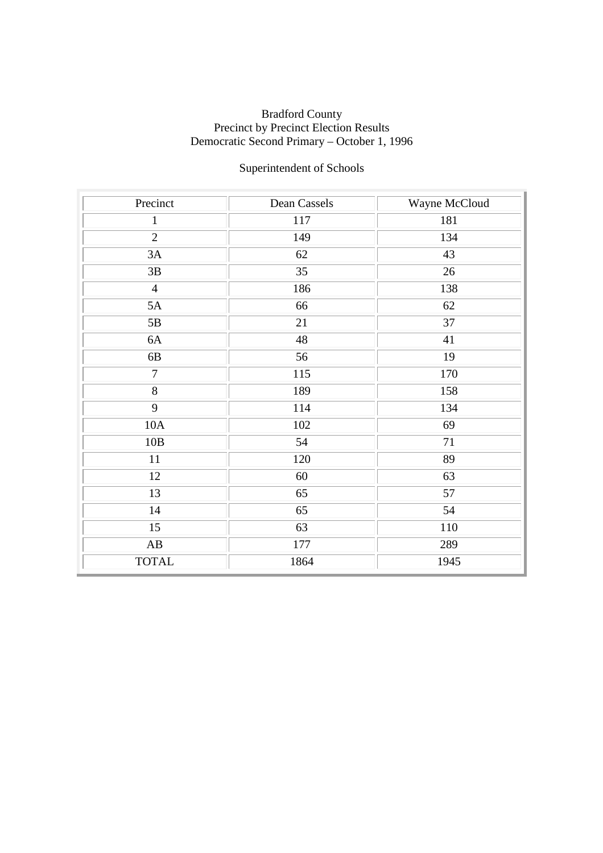### Bradford County Precinct by Precinct Election Results Democratic Second Primary – October 1, 1996

# Superintendent of Schools

| Precinct               | Dean Cassels | Wayne McCloud |
|------------------------|--------------|---------------|
| $\mathbf{1}$           | 117          | 181           |
| $\overline{2}$         | 149          | 134           |
| 3A                     | 62           | 43            |
| 3B                     | 35           | 26            |
| $\overline{4}$         | 186          | 138           |
| 5A                     | 66           | 62            |
| $5\mathrm{B}$          | 21           | 37            |
| 6A                     | 48           | 41            |
| 6B                     | 56           | 19            |
| $\overline{7}$         | 115          | 170           |
| $\overline{8}$         | 189          | 158           |
| 9                      | 114          | 134           |
| 10A                    | 102          | 69            |
| 10B                    | 54           | 71            |
| 11                     | 120          | 89            |
| 12                     | 60           | 63            |
| 13                     | 65           | 57            |
| 14                     | 65           | 54            |
| $\overline{15}$        | 63           | 110           |
| $\mathbf{A}\mathbf{B}$ | 177          | 289           |
| <b>TOTAL</b>           | 1864         | 1945          |